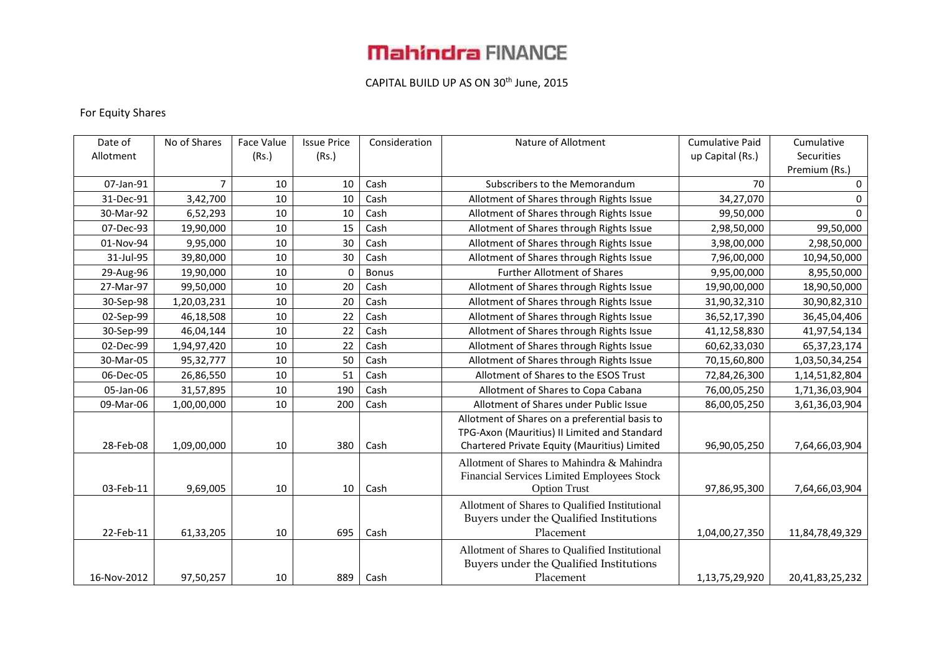# **Mahindra FINANCE**

### CAPITAL BUILD UP AS ON 30<sup>th</sup> June, 2015

### For Equity Shares

| Date of     | No of Shares | Face Value | <b>Issue Price</b> | Consideration | Nature of Allotment                            | <b>Cumulative Paid</b> | Cumulative      |
|-------------|--------------|------------|--------------------|---------------|------------------------------------------------|------------------------|-----------------|
| Allotment   |              | (Rs.)      | (Rs.)              |               |                                                | up Capital (Rs.)       | Securities      |
|             |              |            |                    |               |                                                |                        | Premium (Rs.)   |
| 07-Jan-91   | 7            | 10         | 10                 | Cash          | Subscribers to the Memorandum                  | 70                     | 0               |
| 31-Dec-91   | 3,42,700     | 10         | 10                 | Cash          | Allotment of Shares through Rights Issue       | 34,27,070              | 0               |
| 30-Mar-92   | 6,52,293     | 10         | 10                 | Cash          | Allotment of Shares through Rights Issue       | 99,50,000              | $\Omega$        |
| 07-Dec-93   | 19,90,000    | 10         | 15                 | Cash          | Allotment of Shares through Rights Issue       | 2,98,50,000            | 99,50,000       |
| 01-Nov-94   | 9,95,000     | 10         | 30                 | Cash          | Allotment of Shares through Rights Issue       | 3,98,00,000            | 2,98,50,000     |
| 31-Jul-95   | 39,80,000    | 10         | 30                 | Cash          | Allotment of Shares through Rights Issue       | 7,96,00,000            | 10,94,50,000    |
| 29-Aug-96   | 19,90,000    | 10         | $\mathbf{0}$       | <b>Bonus</b>  | <b>Further Allotment of Shares</b>             | 9,95,00,000            | 8,95,50,000     |
| 27-Mar-97   | 99,50,000    | 10         | 20                 | Cash          | Allotment of Shares through Rights Issue       | 19,90,00,000           | 18,90,50,000    |
| 30-Sep-98   | 1,20,03,231  | 10         | 20                 | Cash          | Allotment of Shares through Rights Issue       | 31,90,32,310           | 30,90,82,310    |
| 02-Sep-99   | 46,18,508    | 10         | 22                 | Cash          | Allotment of Shares through Rights Issue       | 36,52,17,390           | 36,45,04,406    |
| 30-Sep-99   | 46,04,144    | 10         | 22                 | Cash          | Allotment of Shares through Rights Issue       | 41,12,58,830           | 41,97,54,134    |
| 02-Dec-99   | 1,94,97,420  | 10         | 22                 | Cash          | Allotment of Shares through Rights Issue       | 60,62,33,030           | 65, 37, 23, 174 |
| 30-Mar-05   | 95,32,777    | 10         | 50                 | Cash          | Allotment of Shares through Rights Issue       | 70,15,60,800           | 1,03,50,34,254  |
| 06-Dec-05   | 26,86,550    | 10         | 51                 | Cash          | Allotment of Shares to the ESOS Trust          | 72,84,26,300           | 1,14,51,82,804  |
| 05-Jan-06   | 31,57,895    | 10         | 190                | Cash          | Allotment of Shares to Copa Cabana             | 76,00,05,250           | 1,71,36,03,904  |
| 09-Mar-06   | 1,00,00,000  | 10         | 200                | Cash          | Allotment of Shares under Public Issue         | 86,00,05,250           | 3,61,36,03,904  |
|             |              |            |                    |               | Allotment of Shares on a preferential basis to |                        |                 |
|             |              |            |                    |               | TPG-Axon (Mauritius) II Limited and Standard   |                        |                 |
| 28-Feb-08   | 1,09,00,000  | 10         | 380                | Cash          | Chartered Private Equity (Mauritius) Limited   | 96,90,05,250           | 7,64,66,03,904  |
|             |              |            |                    |               | Allotment of Shares to Mahindra & Mahindra     |                        |                 |
|             |              |            |                    |               | Financial Services Limited Employees Stock     |                        |                 |
| 03-Feb-11   | 9,69,005     | 10         | 10                 | Cash          | <b>Option Trust</b>                            | 97,86,95,300           | 7,64,66,03,904  |
|             |              |            |                    |               | Allotment of Shares to Qualified Institutional |                        |                 |
|             |              |            |                    |               | Buyers under the Qualified Institutions        |                        |                 |
| 22-Feb-11   | 61,33,205    | 10         | 695                | Cash          | Placement                                      | 1,04,00,27,350         | 11,84,78,49,329 |
|             |              |            |                    |               | Allotment of Shares to Qualified Institutional |                        |                 |
|             |              |            |                    |               | Buyers under the Qualified Institutions        |                        |                 |
| 16-Nov-2012 | 97,50,257    | 10         | 889                | Cash          | Placement                                      | 1,13,75,29,920         | 20,41,83,25,232 |